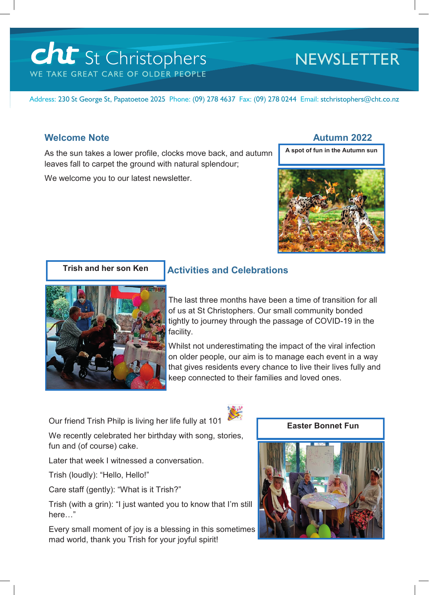# cht St Christophers WE TAKE GREAT CARE OF OLDER PEOPLE

## **NEWSLETTER**

Address: 230 St George St, Papatoetoe 2025 Phone: (09) 278 4637 Fax: (09) 278 0244 Email: stchristophers@cht.co.nz

### **Welcome Note Autumn 2022**

As the sun takes a lower profile, clocks move back, and autumn leaves fall to carpet the ground with natural splendour;

We welcome you to our latest newsletter.

**A spot of fun in the Autumn sun**





### **Activities and Celebrations**

The last three months have been a time of transition for all of us at St Christophers. Our small community bonded tightly to journey through the passage of COVID-19 in the facility.

Whilst not underestimating the impact of the viral infection on older people, our aim is to manage each event in a way that gives residents every chance to live their lives fully and keep connected to their families and loved ones.

Our friend Trish Philp is living her life fully at 101

We recently celebrated her birthday with song, stories, fun and (of course) cake.

Later that week I witnessed a conversation.

Trish (loudly): "Hello, Hello!"

Care staff (gently): "What is it Trish?"

Trish (with a grin): "I just wanted you to know that I'm still here…"

Every small moment of joy is a blessing in this sometimes mad world, thank you Trish for your joyful spirit!



 **Easter Bonnet Fun**